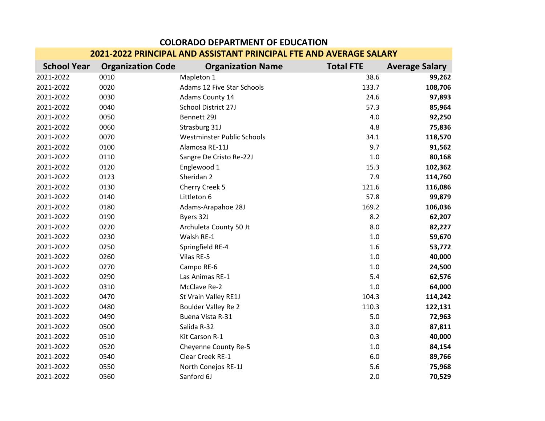| <u>ZUZI-ZUZZ PRIINCIPAL AND ASSISTANT PRIINCIPAL FIE AND AVERAUE SALART</u> |                          |                            |                  |                       |  |  |
|-----------------------------------------------------------------------------|--------------------------|----------------------------|------------------|-----------------------|--|--|
| <b>School Year</b>                                                          | <b>Organization Code</b> | <b>Organization Name</b>   | <b>Total FTE</b> | <b>Average Salary</b> |  |  |
| 2021-2022                                                                   | 0010                     | Mapleton 1                 | 38.6             | 99,262                |  |  |
| 2021-2022                                                                   | 0020                     | Adams 12 Five Star Schools | 133.7            | 108,706               |  |  |
| 2021-2022                                                                   | 0030                     | Adams County 14            | 24.6             | 97,893                |  |  |
| 2021-2022                                                                   | 0040                     | School District 27J        | 57.3             | 85,964                |  |  |
| 2021-2022                                                                   | 0050                     | Bennett 29J                | 4.0              | 92,250                |  |  |
| 2021-2022                                                                   | 0060                     | Strasburg 31J              | 4.8              | 75,836                |  |  |
| 2021-2022                                                                   | 0070                     | Westminster Public Schools | 34.1             | 118,570               |  |  |
| 2021-2022                                                                   | 0100                     | Alamosa RE-11J             | 9.7              | 91,562                |  |  |
| 2021-2022                                                                   | 0110                     | Sangre De Cristo Re-22J    | 1.0              | 80,168                |  |  |
| 2021-2022                                                                   | 0120                     | Englewood 1                | 15.3             | 102,362               |  |  |
| 2021-2022                                                                   | 0123                     | Sheridan <sub>2</sub>      | 7.9              | 114,760               |  |  |
| 2021-2022                                                                   | 0130                     | Cherry Creek 5             | 121.6            | 116,086               |  |  |
| 2021-2022                                                                   | 0140                     | Littleton 6                | 57.8             | 99,879                |  |  |
| 2021-2022                                                                   | 0180                     | Adams-Arapahoe 28J         | 169.2            | 106,036               |  |  |
| 2021-2022                                                                   | 0190                     | Byers 32J                  | 8.2              | 62,207                |  |  |
| 2021-2022                                                                   | 0220                     | Archuleta County 50 Jt     | 8.0              | 82,227                |  |  |
| 2021-2022                                                                   | 0230                     | Walsh RE-1                 | $1.0\,$          | 59,670                |  |  |
| 2021-2022                                                                   | 0250                     | Springfield RE-4           | 1.6              | 53,772                |  |  |
| 2021-2022                                                                   | 0260                     | Vilas RE-5                 | $1.0\,$          | 40,000                |  |  |
| 2021-2022                                                                   | 0270                     | Campo RE-6                 | 1.0              | 24,500                |  |  |
| 2021-2022                                                                   | 0290                     | Las Animas RE-1            | 5.4              | 62,576                |  |  |
| 2021-2022                                                                   | 0310                     | McClave Re-2               | 1.0              | 64,000                |  |  |
| 2021-2022                                                                   | 0470                     | St Vrain Valley RE1J       | 104.3            | 114,242               |  |  |
| 2021-2022                                                                   | 0480                     | <b>Boulder Valley Re 2</b> | 110.3            | 122,131               |  |  |
| 2021-2022                                                                   | 0490                     | Buena Vista R-31           | 5.0              | 72,963                |  |  |
| 2021-2022                                                                   | 0500                     | Salida R-32                | 3.0              | 87,811                |  |  |
| 2021-2022                                                                   | 0510                     | Kit Carson R-1             | 0.3              | 40,000                |  |  |
| 2021-2022                                                                   | 0520                     | Cheyenne County Re-5       | $1.0\,$          | 84,154                |  |  |
| 2021-2022                                                                   | 0540                     | Clear Creek RE-1           | 6.0              | 89,766                |  |  |
| 2021-2022                                                                   | 0550                     | North Conejos RE-1J        | 5.6              | 75,968                |  |  |
| 2021-2022                                                                   | 0560                     | Sanford 6J                 | 2.0              | 70,529                |  |  |

## **COLORADO DEPARTMENT OF EDUCATION 2021-2022 PRINCIPAL AND ASSISTANT PRINCIPAL FTE AND AVERAGE SALARY**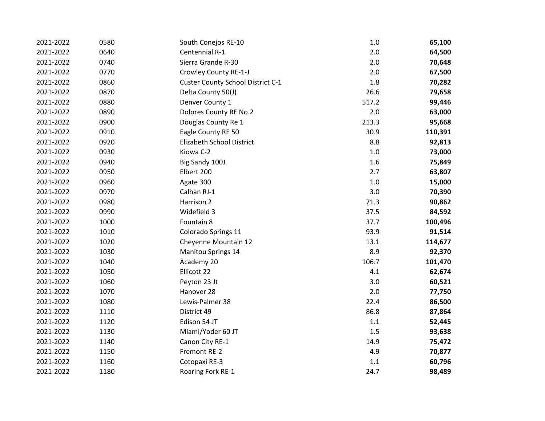| 2021-2022 | 0580 | South Conejos RE-10               | $1.0$ | 65,100  |
|-----------|------|-----------------------------------|-------|---------|
| 2021-2022 | 0640 | Centennial R-1                    | 2.0   | 64,500  |
| 2021-2022 | 0740 | Sierra Grande R-30                | 2.0   | 70,648  |
| 2021-2022 | 0770 | Crowley County RE-1-J             | 2.0   | 67,500  |
| 2021-2022 | 0860 | Custer County School District C-1 | 1.8   | 70,282  |
| 2021-2022 | 0870 | Delta County 50(J)                | 26.6  | 79,658  |
| 2021-2022 | 0880 | Denver County 1                   | 517.2 | 99,446  |
| 2021-2022 | 0890 | Dolores County RE No.2            | 2.0   | 63,000  |
| 2021-2022 | 0900 | Douglas County Re 1               | 213.3 | 95,668  |
| 2021-2022 | 0910 | Eagle County RE 50                | 30.9  | 110,391 |
| 2021-2022 | 0920 | Elizabeth School District         | 8.8   | 92,813  |
| 2021-2022 | 0930 | Kiowa C-2                         | $1.0$ | 73,000  |
| 2021-2022 | 0940 | Big Sandy 100J                    | 1.6   | 75,849  |
| 2021-2022 | 0950 | Elbert 200                        | 2.7   | 63,807  |
| 2021-2022 | 0960 | Agate 300                         | $1.0$ | 15,000  |
| 2021-2022 | 0970 | Calhan RJ-1                       | 3.0   | 70,390  |
| 2021-2022 | 0980 | Harrison 2                        | 71.3  | 90,862  |
| 2021-2022 | 0990 | Widefield 3                       | 37.5  | 84,592  |
| 2021-2022 | 1000 | Fountain 8                        | 37.7  | 100,496 |
| 2021-2022 | 1010 | Colorado Springs 11               | 93.9  | 91,514  |
| 2021-2022 | 1020 | Cheyenne Mountain 12              | 13.1  | 114,677 |
| 2021-2022 | 1030 | <b>Manitou Springs 14</b>         | 8.9   | 92,370  |
| 2021-2022 | 1040 | Academy 20                        | 106.7 | 101,470 |
| 2021-2022 | 1050 | Ellicott 22                       | 4.1   | 62,674  |
| 2021-2022 | 1060 | Peyton 23 Jt                      | 3.0   | 60,521  |
| 2021-2022 | 1070 | Hanover 28                        | 2.0   | 77,750  |
| 2021-2022 | 1080 | Lewis-Palmer 38                   | 22.4  | 86,500  |
| 2021-2022 | 1110 | District 49                       | 86.8  | 87,864  |
| 2021-2022 | 1120 | Edison 54 JT                      | 1.1   | 52,445  |
| 2021-2022 | 1130 | Miami/Yoder 60 JT                 | 1.5   | 93,638  |
| 2021-2022 | 1140 | Canon City RE-1                   | 14.9  | 75,472  |
| 2021-2022 | 1150 | Fremont RE-2                      | 4.9   | 70,877  |
| 2021-2022 | 1160 | Cotopaxi RE-3                     | 1.1   | 60,796  |
| 2021-2022 | 1180 | Roaring Fork RE-1                 | 24.7  | 98,489  |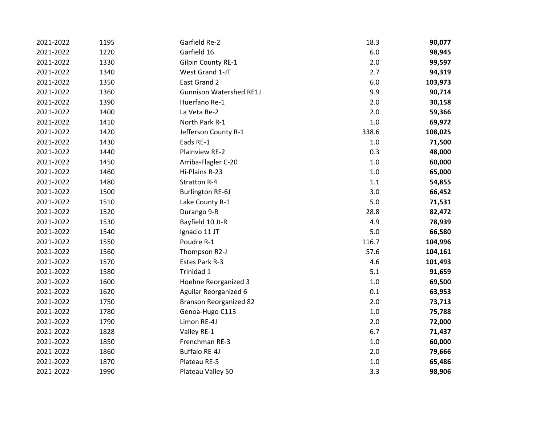| 2021-2022 | 1195 | Garfield Re-2                  | 18.3    | 90,077  |
|-----------|------|--------------------------------|---------|---------|
| 2021-2022 | 1220 | Garfield 16                    | $6.0\,$ | 98,945  |
| 2021-2022 | 1330 | <b>Gilpin County RE-1</b>      | 2.0     | 99,597  |
| 2021-2022 | 1340 | West Grand 1-JT                | 2.7     | 94,319  |
| 2021-2022 | 1350 | East Grand 2                   | 6.0     | 103,973 |
| 2021-2022 | 1360 | <b>Gunnison Watershed RE1J</b> | 9.9     | 90,714  |
| 2021-2022 | 1390 | Huerfano Re-1                  | 2.0     | 30,158  |
| 2021-2022 | 1400 | La Veta Re-2                   | 2.0     | 59,366  |
| 2021-2022 | 1410 | North Park R-1                 | $1.0\,$ | 69,972  |
| 2021-2022 | 1420 | Jefferson County R-1           | 338.6   | 108,025 |
| 2021-2022 | 1430 | Eads RE-1                      | $1.0\,$ | 71,500  |
| 2021-2022 | 1440 | Plainview RE-2                 | 0.3     | 48,000  |
| 2021-2022 | 1450 | Arriba-Flagler C-20            | $1.0$   | 60,000  |
| 2021-2022 | 1460 | Hi-Plains R-23                 | $1.0\,$ | 65,000  |
| 2021-2022 | 1480 | <b>Stratton R-4</b>            | $1.1\,$ | 54,855  |
| 2021-2022 | 1500 | <b>Burlington RE-6J</b>        | 3.0     | 66,452  |
| 2021-2022 | 1510 | Lake County R-1                | 5.0     | 71,531  |
| 2021-2022 | 1520 | Durango 9-R                    | 28.8    | 82,472  |
| 2021-2022 | 1530 | Bayfield 10 Jt-R               | 4.9     | 78,939  |
| 2021-2022 | 1540 | Ignacio 11 JT                  | 5.0     | 66,580  |
| 2021-2022 | 1550 | Poudre R-1                     | 116.7   | 104,996 |
| 2021-2022 | 1560 | Thompson R2-J                  | 57.6    | 104,161 |
| 2021-2022 | 1570 | Estes Park R-3                 | 4.6     | 101,493 |
| 2021-2022 | 1580 | Trinidad 1                     | 5.1     | 91,659  |
| 2021-2022 | 1600 | Hoehne Reorganized 3           | $1.0\,$ | 69,500  |
| 2021-2022 | 1620 | <b>Aguilar Reorganized 6</b>   | 0.1     | 63,953  |
| 2021-2022 | 1750 | <b>Branson Reorganized 82</b>  | 2.0     | 73,713  |
| 2021-2022 | 1780 | Genoa-Hugo C113                | $1.0\,$ | 75,788  |
| 2021-2022 | 1790 | Limon RE-4J                    | 2.0     | 72,000  |
| 2021-2022 | 1828 | Valley RE-1                    | 6.7     | 71,437  |
| 2021-2022 | 1850 | Frenchman RE-3                 | $1.0\,$ | 60,000  |
| 2021-2022 | 1860 | <b>Buffalo RE-4J</b>           | 2.0     | 79,666  |
| 2021-2022 | 1870 | Plateau RE-5                   | $1.0\,$ | 65,486  |
| 2021-2022 | 1990 | Plateau Valley 50              | 3.3     | 98,906  |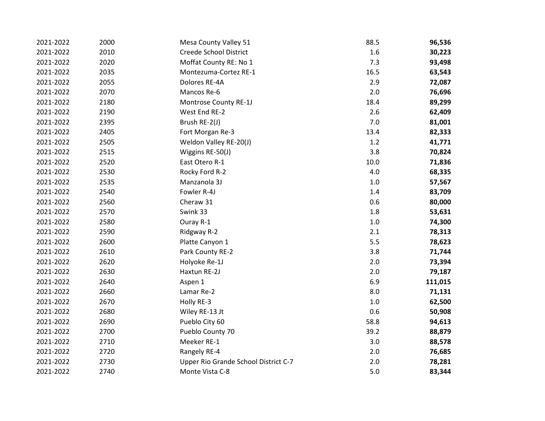| 2021-2022 | 2000 | Mesa County Valley 51                | 88.5    | 96,536  |
|-----------|------|--------------------------------------|---------|---------|
| 2021-2022 | 2010 | <b>Creede School District</b>        | 1.6     | 30,223  |
| 2021-2022 | 2020 | Moffat County RE: No 1               | 7.3     | 93,498  |
| 2021-2022 | 2035 | Montezuma-Cortez RE-1                | 16.5    | 63,543  |
| 2021-2022 | 2055 | Dolores RE-4A                        | 2.9     | 72,087  |
| 2021-2022 | 2070 | Mancos Re-6                          | 2.0     | 76,696  |
| 2021-2022 | 2180 | Montrose County RE-1J                | 18.4    | 89,299  |
| 2021-2022 | 2190 | West End RE-2                        | 2.6     | 62,409  |
| 2021-2022 | 2395 | Brush RE-2(J)                        | 7.0     | 81,001  |
| 2021-2022 | 2405 | Fort Morgan Re-3                     | 13.4    | 82,333  |
| 2021-2022 | 2505 | Weldon Valley RE-20(J)               | 1.2     | 41,771  |
| 2021-2022 | 2515 | Wiggins RE-50(J)                     | 3.8     | 70,824  |
| 2021-2022 | 2520 | East Otero R-1                       | 10.0    | 71,836  |
| 2021-2022 | 2530 | Rocky Ford R-2                       | 4.0     | 68,335  |
| 2021-2022 | 2535 | Manzanola 3J                         | $1.0\,$ | 57,567  |
| 2021-2022 | 2540 | Fowler R-4J                          | $1.4\,$ | 83,709  |
| 2021-2022 | 2560 | Cheraw 31                            | 0.6     | 80,000  |
| 2021-2022 | 2570 | Swink 33                             | 1.8     | 53,631  |
| 2021-2022 | 2580 | Ouray R-1                            | $1.0\,$ | 74,300  |
| 2021-2022 | 2590 | Ridgway R-2                          | 2.1     | 78,313  |
| 2021-2022 | 2600 | Platte Canyon 1                      | 5.5     | 78,623  |
| 2021-2022 | 2610 | Park County RE-2                     | 3.8     | 71,744  |
| 2021-2022 | 2620 | Holyoke Re-1J                        | 2.0     | 73,394  |
| 2021-2022 | 2630 | Haxtun RE-2J                         | 2.0     | 79,187  |
| 2021-2022 | 2640 | Aspen 1                              | 6.9     | 111,015 |
| 2021-2022 | 2660 | Lamar Re-2                           | 8.0     | 71,131  |
| 2021-2022 | 2670 | Holly RE-3                           | $1.0\,$ | 62,500  |
| 2021-2022 | 2680 | Wiley RE-13 Jt                       | 0.6     | 50,908  |
| 2021-2022 | 2690 | Pueblo City 60                       | 58.8    | 94,613  |
| 2021-2022 | 2700 | Pueblo County 70                     | 39.2    | 88,879  |
| 2021-2022 | 2710 | Meeker RE-1                          | 3.0     | 88,578  |
| 2021-2022 | 2720 | Rangely RE-4                         | 2.0     | 76,685  |
| 2021-2022 | 2730 | Upper Rio Grande School District C-7 | 2.0     | 78,281  |
| 2021-2022 | 2740 | Monte Vista C-8                      | 5.0     | 83,344  |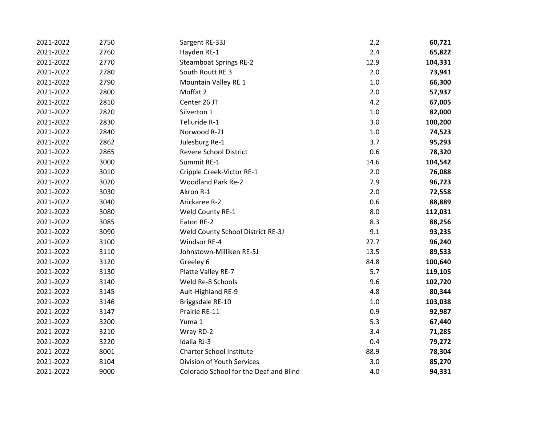| 2021-2022 | 2750 | Sargent RE-33J                         | 2.2     | 60,721  |
|-----------|------|----------------------------------------|---------|---------|
| 2021-2022 | 2760 | Hayden RE-1                            | 2.4     | 65,822  |
| 2021-2022 | 2770 | <b>Steamboat Springs RE-2</b>          | 12.9    | 104,331 |
| 2021-2022 | 2780 | South Routt RE 3                       | 2.0     | 73,941  |
| 2021-2022 | 2790 | Mountain Valley RE 1                   | $1.0\,$ | 66,300  |
| 2021-2022 | 2800 | Moffat 2                               | 2.0     | 57,937  |
| 2021-2022 | 2810 | Center 26 JT                           | 4.2     | 67,005  |
| 2021-2022 | 2820 | Silverton 1                            | $1.0\,$ | 82,000  |
| 2021-2022 | 2830 | Telluride R-1                          | 3.0     | 100,200 |
| 2021-2022 | 2840 | Norwood R-2J                           | $1.0\,$ | 74,523  |
| 2021-2022 | 2862 | Julesburg Re-1                         | 3.7     | 95,293  |
| 2021-2022 | 2865 | <b>Revere School District</b>          | 0.6     | 78,320  |
| 2021-2022 | 3000 | Summit RE-1                            | 14.6    | 104,542 |
| 2021-2022 | 3010 | Cripple Creek-Victor RE-1              | 2.0     | 76,088  |
| 2021-2022 | 3020 | <b>Woodland Park Re-2</b>              | 7.9     | 96,723  |
| 2021-2022 | 3030 | Akron R-1                              | 2.0     | 72,558  |
| 2021-2022 | 3040 | Arickaree R-2                          | 0.6     | 88,889  |
| 2021-2022 | 3080 | Weld County RE-1                       | 8.0     | 112,031 |
| 2021-2022 | 3085 | Eaton RE-2                             | 8.3     | 88,256  |
| 2021-2022 | 3090 | Weld County School District RE-3J      | 9.1     | 93,235  |
| 2021-2022 | 3100 | Windsor RE-4                           | 27.7    | 96,240  |
| 2021-2022 | 3110 | Johnstown-Milliken RE-5J               | 13.5    | 89,533  |
| 2021-2022 | 3120 | Greeley 6                              | 84.8    | 100,640 |
| 2021-2022 | 3130 | Platte Valley RE-7                     | 5.7     | 119,105 |
| 2021-2022 | 3140 | Weld Re-8 Schools                      | 9.6     | 102,720 |
| 2021-2022 | 3145 | Ault-Highland RE-9                     | 4.8     | 80,344  |
| 2021-2022 | 3146 | Briggsdale RE-10                       | 1.0     | 103,038 |
| 2021-2022 | 3147 | Prairie RE-11                          | 0.9     | 92,987  |
| 2021-2022 | 3200 | Yuma 1                                 | 5.3     | 67,440  |
| 2021-2022 | 3210 | Wray RD-2                              | 3.4     | 71,285  |
| 2021-2022 | 3220 | Idalia RJ-3                            | 0.4     | 79,272  |
| 2021-2022 | 8001 | <b>Charter School Institute</b>        | 88.9    | 78,304  |
| 2021-2022 | 8104 | Division of Youth Services             | 3.0     | 85,270  |
| 2021-2022 | 9000 | Colorado School for the Deaf and Blind | 4.0     | 94,331  |